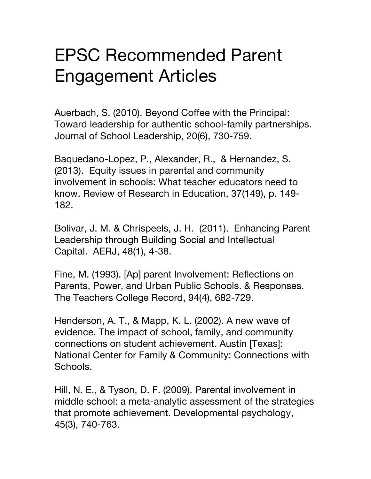## EPSC Recommended Parent Engagement Articles

Auerbach, S. (2010). Beyond Coffee with the Principal: Toward leadership for authentic school-family partnerships. Journal of School Leadership, 20(6), 730-759.

Baquedano-Lopez, P., Alexander, R., & Hernandez, S. (2013). Equity issues in parental and community involvement in schools: What teacher educators need to know. Review of Research in Education, 37(149), p. 149- 182.

Bolivar, J. M. & Chrispeels, J. H. (2011). Enhancing Parent Leadership through Building Social and Intellectual Capital. AERJ, 48(1), 4-38.

Fine, M. (1993). [Ap] parent Involvement: Reflections on Parents, Power, and Urban Public Schools. & Responses. The Teachers College Record, 94(4), 682-729.

Henderson, A. T., & Mapp, K. L. (2002). A new wave of evidence. The impact of school, family, and community connections on student achievement. Austin [Texas]: National Center for Family & Community: Connections with Schools.

Hill, N. E., & Tyson, D. F. (2009). Parental involvement in middle school: a meta-analytic assessment of the strategies that promote achievement. Developmental psychology, 45(3), 740-763.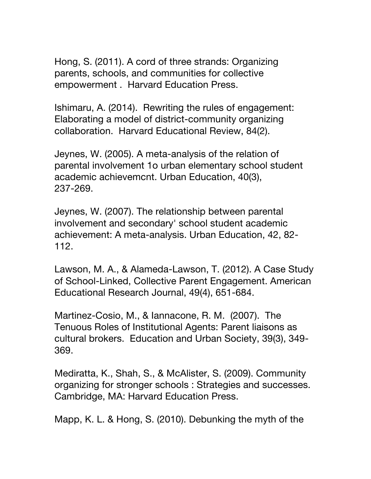Hong, S. (2011). A cord of three strands: Organizing parents, schools, and communities for collective empowerment . Harvard Education Press.

Ishimaru, A. (2014). Rewriting the rules of engagement: Elaborating a model of district-community organizing collaboration. Harvard Educational Review, 84(2).

Jeynes, W. (2005). A meta-analysis of the relation of parental involvement 1o urban elementary school student academic achievemcnt. Urban Education, 40(3), 237-269.

Jeynes, W. (2007). The relationship between parental involvement and secondary' school student academic achievement: A meta-analysis. Urban Education, 42, 82- 112.

Lawson, M. A., & Alameda-Lawson, T. (2012). A Case Study of School-Linked, Collective Parent Engagement. American Educational Research Journal, 49(4), 651-684.

Martinez-Cosio, M., & Iannacone, R. M. (2007). The Tenuous Roles of Institutional Agents: Parent liaisons as cultural brokers. Education and Urban Society, 39(3), 349- 369.

Mediratta, K., Shah, S., & McAlister, S. (2009). Community organizing for stronger schools : Strategies and successes. Cambridge, MA: Harvard Education Press.

Mapp, K. L. & Hong, S. (2010). Debunking the myth of the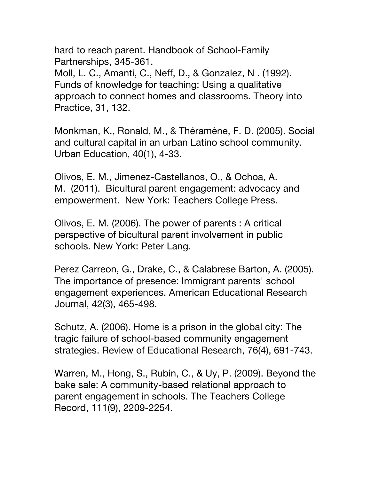hard to reach parent. Handbook of School‐Family Partnerships, 345‐361. Moll, L. C., Amanti, C., Neff, D., & Gonzalez, N . (1992). Funds of knowledge for teaching: Using a qualitative approach to connect homes and classrooms. Theory into Practice, 31, 132.

Monkman, K., Ronald, M., & Théramène, F. D. (2005). Social and cultural capital in an urban Latino school community. Urban Education, 40(1), 4-33.

Olivos, E. M., Jimenez-Castellanos, O., & Ochoa, A. M. (2011). Bicultural parent engagement: advocacy and empowerment. New York: Teachers College Press.

Olivos, E. M. (2006). The power of parents : A critical perspective of bicultural parent involvement in public schools. New York: Peter Lang.

Perez Carreon, G., Drake, C., & Calabrese Barton, A. (2005). The importance of presence: Immigrant parents' school engagement experiences. American Educational Research Journal, 42(3), 465-498.

Schutz, A. (2006). Home is a prison in the global city: The tragic failure of school-based community engagement strategies. Review of Educational Research, 76(4), 691-743.

Warren, M., Hong, S., Rubin, C., & Uy, P. (2009). Beyond the bake sale: A community-based relational approach to parent engagement in schools. The Teachers College Record, 111(9), 2209-2254.